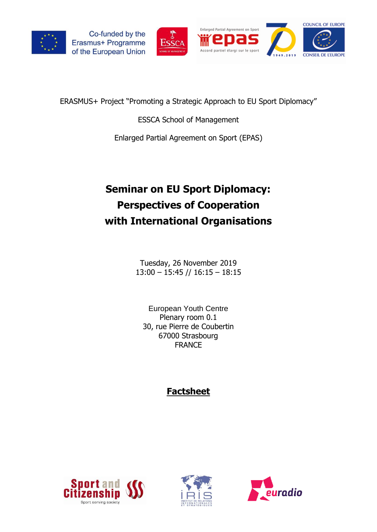



ERASMUS+ Project "Promoting a Strategic Approach to EU Sport Diplomacy"

ESSCA School of Management

Enlarged Partial Agreement on Sport (EPAS)

# **Seminar on EU Sport Diplomacy: Perspectives of Cooperation with International Organisations**

Tuesday, 26 November 2019 13:00 – 15:45 // 16:15 – 18:15

[European Youth Centre](https://www.coe.int/en/web/youth/home) Plenary room 0.1 30, rue Pierre de Coubertin 67000 Strasbourg FRANCE

# **Factsheet**





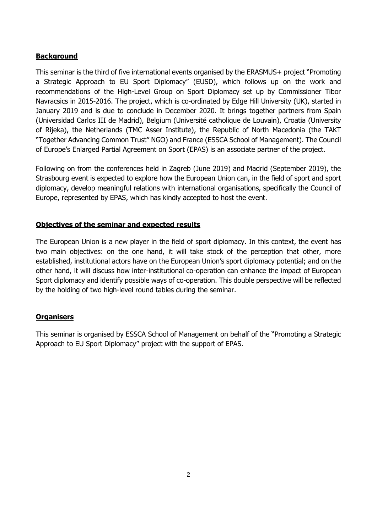# **Background**

This seminar is the third of five international events organised by the ERASMUS+ project "Promoting a Strategic Approach to EU Sport Diplomacy" (EUSD), which follows up on the work and recommendations of the High-Level Group on Sport Diplomacy set up by Commissioner Tibor Navracsics in 2015-2016. The project, which is co-ordinated by Edge Hill University (UK), started in January 2019 and is due to conclude in December 2020. It brings together partners from Spain (Universidad Carlos III de Madrid), Belgium (Université catholique de Louvain), Croatia (University of Rijeka), the Netherlands (TMC Asser Institute), the Republic of North Macedonia (the TAKT "Together Advancing Common Trust" NGO) and France (ESSCA School of Management). The Council of Europe's [Enlarged Partial Agreement on Sport](https://www.coe.int/en/web/sport/epas/) (EPAS) is an associate partner of the project.

Following on from the conferences held in Zagreb (June 2019) and Madrid (September 2019), the Strasbourg event is expected to explore how the European Union can, in the field of sport and sport diplomacy, develop meaningful relations with international organisations, specifically the Council of Europe, represented by EPAS, which has kindly accepted to host the event.

## **Objectives of the seminar and expected results**

The European Union is a new player in the field of sport diplomacy. In this context, the event has two main objectives: on the one hand, it will take stock of the perception that other, more established, institutional actors have on the European Union's sport diplomacy potential; and on the other hand, it will discuss how inter-institutional co-operation can enhance the impact of European Sport diplomacy and identify possible ways of co-operation. This double perspective will be reflected by the holding of two high-level round tables during the seminar.

#### **Organisers**

This seminar is organised by ESSCA School of Management on behalf of the "Promoting a Strategic Approach to EU Sport Diplomacy" project with the support of EPAS.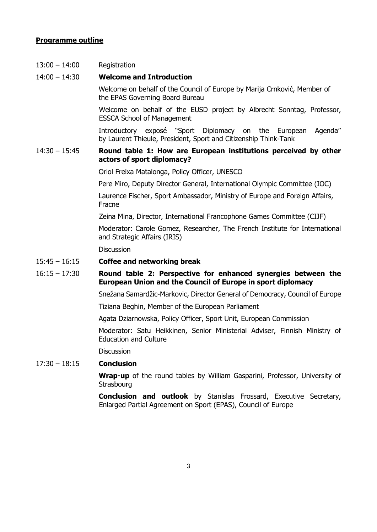#### **Programme outline**

13:00 – 14:00 Registration

#### 14:00 – 14:30 **Welcome and Introduction**

Welcome on behalf of the Council of Europe by Marija Crnković, Member of the EPAS Governing Board Bureau

 Welcome on behalf of the EUSD project by Albrecht Sonntag, Professor, ESSCA School of Management

Introductory exposé "Sport Diplomacy on the European Agenda" by Laurent Thieule, President, Sport and Citizenship Think-Tank

#### 14:30 – 15:45 **Round table 1: How are European institutions perceived by other actors of sport diplomacy?**

Oriol Freixa Matalonga, Policy Officer, UNESCO

Pere Miro, Deputy Director General, International Olympic Committee (IOC)

Laurence Fischer, Sport Ambassador, Ministry of Europe and Foreign Affairs, Fracne

Zeina Mina, Director, International Francophone Games Committee (CIJF)

Moderator: Carole Gomez, Researcher, The French Institute for International and Strategic Affairs (IRIS)

**Discussion** 

#### 15:45 – 16:15 **Coffee and networking break**

### 16:15 – 17:30 **Round table 2: Perspective for enhanced synergies between the European Union and the Council of Europe in sport diplomacy**

Snežana Samardžic-Markovic, Director General of Democracy, Council of Europe

Tiziana Beghin, Member of the European Parliament

Agata Dziarnowska, Policy Officer, Sport Unit, European Commission

Moderator: Satu Heikkinen, Senior Ministerial Adviser, Finnish Ministry of Education and Culture

**Discussion** 

## 17:30 – 18:15 **Conclusion**

**Wrap-up** of the round tables by William Gasparini, Professor, University of **Strasbourg** 

**Conclusion and outlook** by Stanislas Frossard, Executive Secretary, Enlarged Partial Agreement on Sport (EPAS), Council of Europe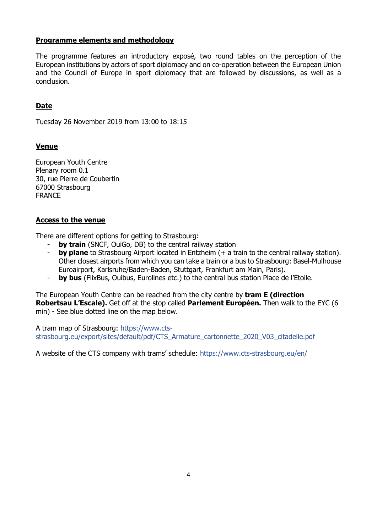#### **Programme elements and methodology**

The programme features an introductory exposé, two round tables on the perception of the European institutions by actors of sport diplomacy and on co-operation between the European Union and the Council of Europe in sport diplomacy that are followed by discussions, as well as a conclusion.

# **Date**

Tuesday 26 November 2019 from 13:00 to 18:15

#### **Venue**

European Youth Centre Plenary room 0.1 30, rue Pierre de Coubertin 67000 Strasbourg FRANCE

#### **Access to the venue**

There are different options for getting to Strasbourg:

- **by train** (SNCF, OuiGo, DB) to the central railway station
- **by plane** to Strasbourg Airport located in Entzheim (+ a train to the central railway station). Other closest airports from which you can take a train or a bus to Strasbourg: Basel-Mulhouse Euroairport, Karlsruhe/Baden-Baden, Stuttgart, Frankfurt am Main, Paris).
- **by bus** (FlixBus, Ouibus, Eurolines etc.) to the central bus station Place de l'Etoile.

The European Youth Centre can be reached from the city centre by **tram E (direction Robertsau L'Escale).** Get off at the stop called **Parlement Européen.** Then walk to the EYC (6 min) - See blue dotted line on the map below.

A tram map of Strasbourg: [https://www.cts](https://www.cts-strasbourg.eu/export/sites/default/pdf/CTS_Armature_cartonnette_2020_V03_citadelle.pdf)[strasbourg.eu/export/sites/default/pdf/CTS\\_Armature\\_cartonnette\\_2020\\_V03\\_citadelle.pdf](https://www.cts-strasbourg.eu/export/sites/default/pdf/CTS_Armature_cartonnette_2020_V03_citadelle.pdf)

A website of the CTS company with trams' schedule: <https://www.cts-strasbourg.eu/en/>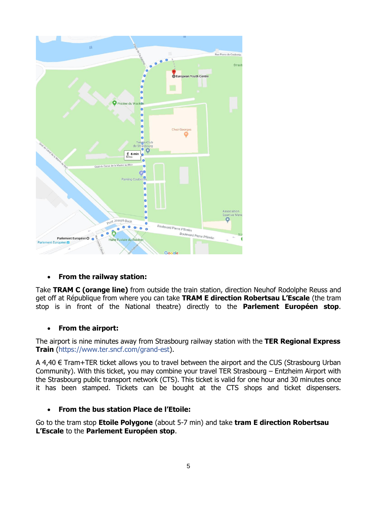

# • **From the railway station:**

Take **TRAM C (orange line)** from outside the train station, direction Neuhof Rodolphe Reuss and get off at République from where you can take **TRAM E direction Robertsau L'Escale** (the tram stop is in front of the National theatre) directly to the **Parlement Européen stop**.

# • **From the airport:**

The airport is nine minutes away from Strasbourg railway station with the **TER Regional Express Train** [\(https://www.ter.sncf.com/grand-est\)](https://www.ter.sncf.com/grand-est).

A 4,40 € Tram+TER ticket allows you to travel between the airport and the CUS (Strasbourg Urban Community). With this ticket, you may combine your travel TER Strasbourg – Entzheim Airport with the Strasbourg public transport network [\(CTS\)](https://www.cts-strasbourg.eu/en/). This ticket is valid for one hour and 30 minutes once it has been stamped. Tickets can be bought at the CTS shops and ticket dispensers.

# • **From the bus station Place de l'Etoile:**

Go to the tram stop **Etoile Polygone** (about 5-7 min) and take **tram E direction Robertsau L'Escale** to the **Parlement Européen stop**.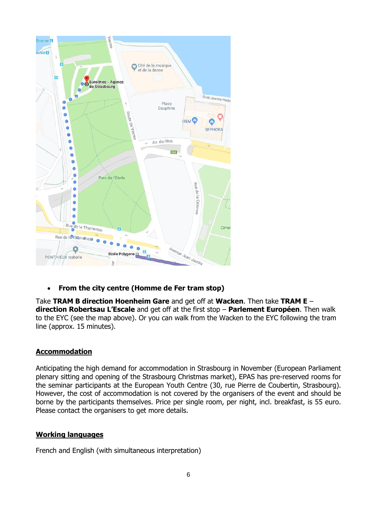

• **From the city centre (Homme de Fer tram stop)**

Take **TRAM B direction Hoenheim Gare** and get off at **Wacken**. Then take **TRAM E** – **direction Robertsau L'Escale** and get off at the first stop – **Parlement Européen**. Then walk to the EYC (see the map above). Or you can walk from the Wacken to the EYC following the tram line (approx. 15 minutes).

# **Accommodation**

Anticipating the high demand for accommodation in Strasbourg in November (European Parliament plenary sitting and opening of the Strasbourg Christmas market), EPAS has pre-reserved rooms for the seminar participants at the European Youth Centre (30, rue Pierre de Coubertin, Strasbourg). However, the cost of accommodation is not covered by the organisers of the event and should be borne by the participants themselves. Price per single room, per night, incl. breakfast, is 55 euro. Please contact the organisers to get more details.

# **Working languages**

French and English (with simultaneous interpretation)